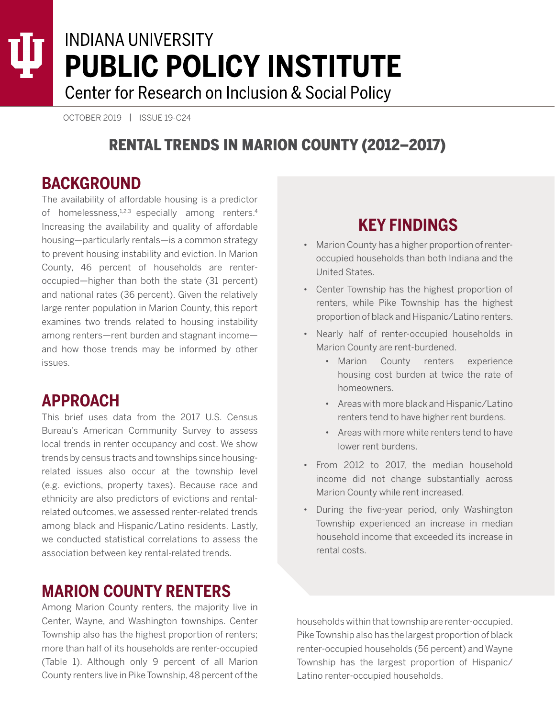# **INDIANA UNIVERSITY PUBLIC POLICY INSTITUTE**

Center for Research on Inclusion & Social Policy

OCTOBER 2019 | ISSUE 19-C24

# RENTAL TRENDS IN MARION COUNTY (2012–2017)

## **BACKGROUND**

The availability of affordable housing is a predictor of homelessness, $1,2,3$  especially among renters.<sup>4</sup> Increasing the availability and quality of affordable housing—particularly rentals—is a common strategy to prevent housing instability and eviction. In Marion County, 46 percent of households are renteroccupied—higher than both the state (31 percent) and national rates (36 percent). Given the relatively large renter population in Marion County, this report examines two trends related to housing instability among renters—rent burden and stagnant income and how those trends may be informed by other issues.

# **APPROACH**

This brief uses data from the 2017 U.S. Census Bureau's American Community Survey to assess local trends in renter occupancy and cost. We show trends by census tracts and townships since housingrelated issues also occur at the township level (e.g. evictions, property taxes). Because race and ethnicity are also predictors of evictions and rentalrelated outcomes, we assessed renter-related trends among black and Hispanic/Latino residents. Lastly, we conducted statistical correlations to assess the association between key rental-related trends.

## **MARION COUNTY RENTERS**

Among Marion County renters, the majority live in Center, Wayne, and Washington townships. Center Township also has the highest proportion of renters; more than half of its households are renter-occupied (Table 1). Although only 9 percent of all Marion County renters live in Pike Township, 48 percent of the

# **KEY FINDINGS**

- Marion County has a higher proportion of renteroccupied households than both Indiana and the United States.
- Center Township has the highest proportion of renters, while Pike Township has the highest proportion of black and Hispanic/Latino renters.
- Nearly half of renter-occupied households in Marion County are rent-burdened.
	- Marion County renters experience housing cost burden at twice the rate of homeowners.
	- Areas with more black and Hispanic/Latino renters tend to have higher rent burdens.
	- Areas with more white renters tend to have lower rent burdens.
- From 2012 to 2017, the median household income did not change substantially across Marion County while rent increased.
- During the five-year period, only Washington Township experienced an increase in median household income that exceeded its increase in rental costs.

households within that township are renter-occupied. Pike Township also has the largest proportion of black renter-occupied households (56 percent) and Wayne Township has the largest proportion of Hispanic/ Latino renter-occupied households.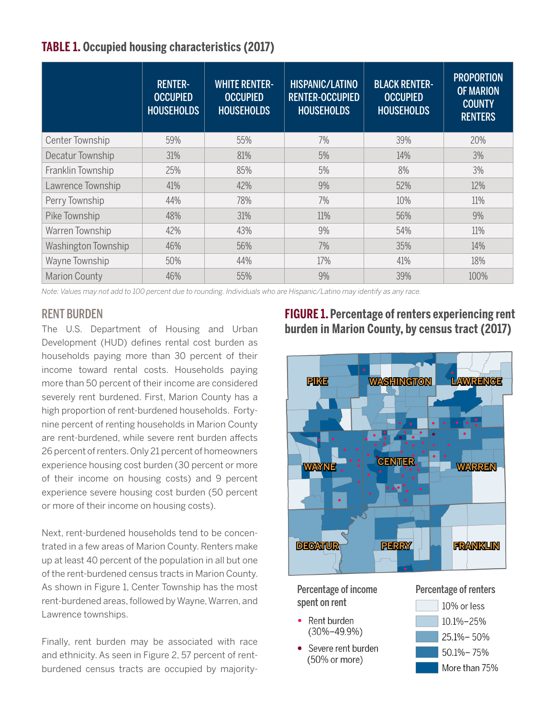| <b>TABLE 1. Occupied housing characteristics (2017)</b> |  |  |  |  |  |  |
|---------------------------------------------------------|--|--|--|--|--|--|
|---------------------------------------------------------|--|--|--|--|--|--|

|                      | <b>RENTER-</b><br><b>OCCUPIED</b><br><b>HOUSEHOLDS</b> | <b>WHITE RENTER-</b><br><b>OCCUPIED</b><br><b>HOUSEHOLDS</b> | <b>HISPANIC/LATINO</b><br><b>RENTER-OCCUPIED</b><br><b>HOUSEHOLDS</b> | <b>BLACK RENTER-</b><br><b>OCCUPIED</b><br><b>HOUSEHOLDS</b> | <b>PROPORTION</b><br><b>OF MARION</b><br><b>COUNTY</b><br><b>RENTERS</b> |
|----------------------|--------------------------------------------------------|--------------------------------------------------------------|-----------------------------------------------------------------------|--------------------------------------------------------------|--------------------------------------------------------------------------|
| Center Township      | 59%                                                    | 55%                                                          | 7%                                                                    | 39%                                                          | 20%                                                                      |
| Decatur Township     | 31%                                                    | 81%                                                          | 5%                                                                    | 14%                                                          | 3%                                                                       |
| Franklin Township    | 25%                                                    | 85%                                                          | 5%                                                                    | 8%                                                           | 3%                                                                       |
| Lawrence Township    | 41%                                                    | 42%                                                          | 9%                                                                    | 52%                                                          | 12%                                                                      |
| Perry Township       | 44%                                                    | 78%                                                          | 7%                                                                    | 10%                                                          | 11%                                                                      |
| Pike Township        | 48%                                                    | 31%                                                          | 11%                                                                   | 56%                                                          | 9%                                                                       |
| Warren Township      | 42%                                                    | 43%                                                          | 9%                                                                    | 54%                                                          | 11%                                                                      |
| Washington Township  | 46%                                                    | 56%                                                          | 7%                                                                    | 35%                                                          | 14%                                                                      |
| Wayne Township       | 50%                                                    | 44%                                                          | 17%                                                                   | 41%                                                          | 18%                                                                      |
| <b>Marion County</b> | 46%                                                    | 55%                                                          | 9%                                                                    | 39%                                                          | 100%                                                                     |

*Note: Values may not add to 100 percent due to rounding. Individuals who are Hispanic/Latino may identify as any race.*

#### RENT BURDEN

The U.S. Department of Housing and Urban Development (HUD) defines rental cost burden as households paying more than 30 percent of their income toward rental costs. Households paying more than 50 percent of their income are considered severely rent burdened. First, Marion County has a high proportion of rent-burdened households. Fortynine percent of renting households in Marion County are rent-burdened, while severe rent burden affects 26 percent of renters. Only 21 percent of homeowners experience housing cost burden (30 percent or more of their income on housing costs) and 9 percent experience severe housing cost burden (50 percent or more of their income on housing costs).

Next, rent-burdened households tend to be concentrated in a few areas of Marion County. Renters make up at least 40 percent of the population in all but one of the rent-burdened census tracts in Marion County. As shown in Figure 1, Center Township has the most rent-burdened areas, followed by Wayne, Warren, and Lawrence townships.

Finally, rent burden may be associated with race and ethnicity. As seen in Figure 2, 57 percent of rentburdened census tracts are occupied by majority-

### **FIGURE 1. Percentage of renters experiencing rent burden in Marion County, by census tract (2017)**

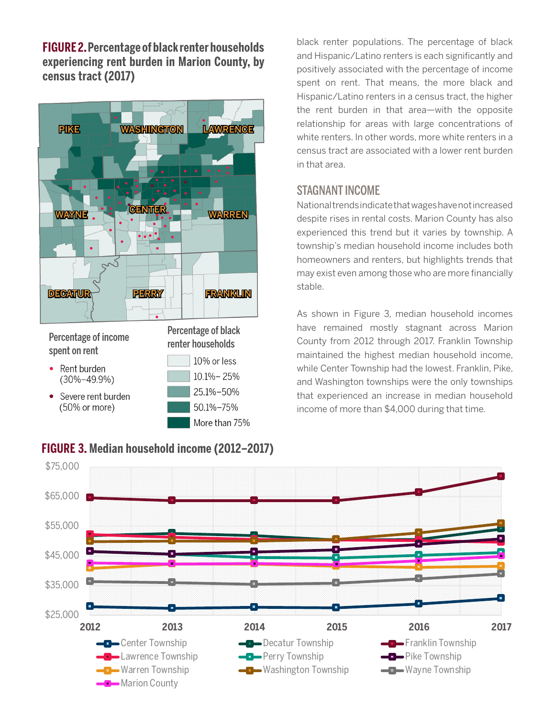**FIGURE 2. Percentage of black renter households experiencing rent burden in Marion County, by census tract (2017)**



Percentage of income<br>renter households spent on rent

- Rent burden  $(30\% - 49.9\%)$
- Severe rent burden (50% or more)

10% or less  $10.1\% - 25\%$ 

25.1%-50% 50.1%-75% More than 75%

## **FIGURE 3. Median household income (2012–2017)**

black renter populations. The percentage of black and Hispanic/Latino renters is each significantly and positively associated with the percentage of income spent on rent. That means, the more black and Hispanic/Latino renters in a census tract, the higher the rent burden in that area—with the opposite relationship for areas with large concentrations of white renters. In other words, more white renters in a census tract are associated with a lower rent burden in that area.

## STAGNANT INCOME

National trends indicate that wages have not increased despite rises in rental costs. Marion County has also experienced this trend but it varies by township. A township's median household income includes both homeowners and renters, but highlights trends that may exist even among those who are more financially stable.

As shown in Figure 3, median household incomes have remained mostly stagnant across Marion County from 2012 through 2017. Franklin Township maintained the highest median household income, while Center Township had the lowest. Franklin, Pike, and Washington townships were the only townships that experienced an increase in median household income of more than \$4,000 during that time.

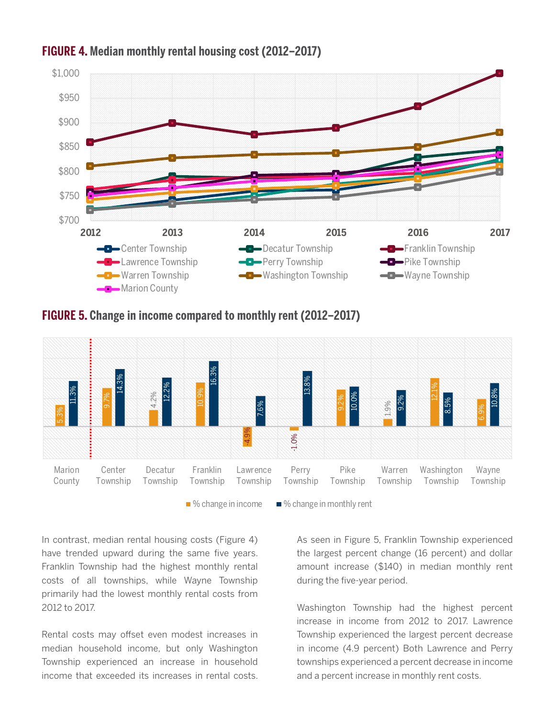

#### **FIGURE 4. Median monthly rental housing cost (2012–2017)**





 $\blacksquare$  % change in income  $\blacksquare$  % change in monthly rent

In contrast, median rental housing costs (Figure 4) have trended upward during the same five years. Franklin Township had the highest monthly rental costs of all townships, while Wayne Township primarily had the lowest monthly rental costs from 2012 to 2017.

Rental costs may offset even modest increases in median household income, but only Washington Township experienced an increase in household income that exceeded its increases in rental costs.

As seen in Figure 5, Franklin Township experienced the largest percent change (16 percent) and dollar amount increase (\$140) in median monthly rent during the five-year period.

Washington Township had the highest percent increase in income from 2012 to 2017. Lawrence Township experienced the largest percent decrease in income (4.9 percent) Both Lawrence and Perry townships experienced a percent decrease in income and a percent increase in monthly rent costs.